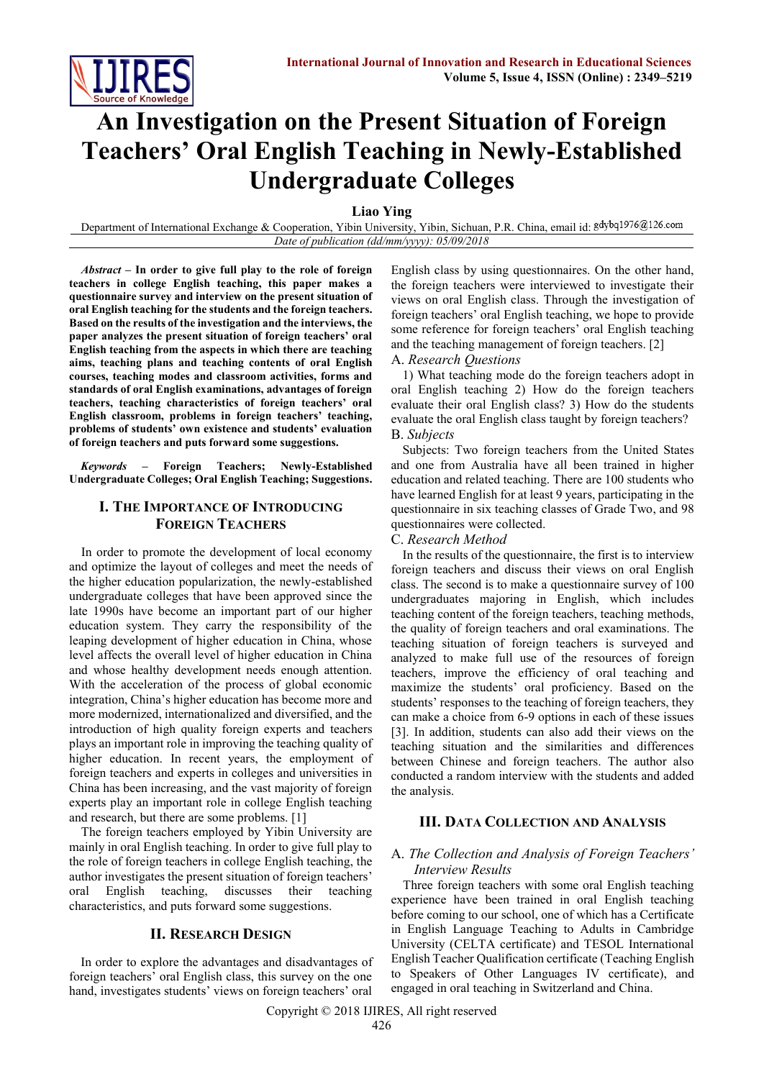

# **An Investigation on the Present Situation of Foreign Teachers' Oral English Teaching in Newly-Established Undergraduate Colleges**

**Liao Ying**

Department of International Exchange & Cooperation, Yibin University, Yibin, Sichuan, P.R. China, email id: gdybq1976@126.com *Date of publication (dd/mm/yyyy): 05/09/2018*

*Abstract* **– In order to give full play to the role of foreign teachers in college English teaching, this paper makes a questionnaire survey and interview on the present situation of oral English teaching for the students and the foreign teachers. Based on the results of the investigation and the interviews, the paper analyzes the present situation of foreign teachers' oral English teaching from the aspects in which there are teaching aims, teaching plans and teaching contents of oral English courses, teaching modes and classroom activities, forms and standards of oral English examinations, advantages of foreign teachers, teaching characteristics of foreign teachers' oral English classroom, problems in foreign teachers' teaching, problems of students' own existence and students' evaluation of foreign teachers and puts forward some suggestions.**

*Keywords –* **Foreign Teachers; Newly-Established Undergraduate Colleges; Oral English Teaching; Suggestions.**

# **I. THE IMPORTANCE OF INTRODUCING FOREIGN TEACHERS**

In order to promote the development of local economy and optimize the layout of colleges and meet the needs of the higher education popularization, the newly-established undergraduate colleges that have been approved since the late 1990s have become an important part of our higher education system. They carry the responsibility of the leaping development of higher education in China, whose level affects the overall level of higher education in China and whose healthy development needs enough attention. With the acceleration of the process of global economic integration, China's higher education has become more and more modernized, internationalized and diversified, and the introduction of high quality foreign experts and teachers plays an important role in improving the teaching quality of higher education. In recent years, the employment of foreign teachers and experts in colleges and universities in China has been increasing, and the vast majority of foreign experts play an important role in college English teaching and research, but there are some problems. [1]

The foreign teachers employed by Yibin University are mainly in oral English teaching. In order to give full play to the role of foreign teachers in college English teaching, the author investigates the present situation of foreign teachers' oral English teaching, discusses their teaching characteristics, and puts forward some suggestions.

# **II. RESEARCH DESIGN**

In order to explore the advantages and disadvantages of foreign teachers' oral English class, this survey on the one hand, investigates students' views on foreign teachers' oral English class by using questionnaires. On the other hand, the foreign teachers were interviewed to investigate their views on oral English class. Through the investigation of foreign teachers' oral English teaching, we hope to provide some reference for foreign teachers' oral English teaching and the teaching management of foreign teachers. [2]

#### A. *Research Questions*

1) What teaching mode do the foreign teachers adopt in oral English teaching 2) How do the foreign teachers evaluate their oral English class? 3) How do the students evaluate the oral English class taught by foreign teachers? B. *Subjects*

Subjects: Two foreign teachers from the United States and one from Australia have all been trained in higher education and related teaching. There are 100 students who have learned English for at least 9 years, participating in the questionnaire in six teaching classes of Grade Two, and 98 questionnaires were collected.

#### C. *Research Method*

In the results of the questionnaire, the first is to interview foreign teachers and discuss their views on oral English class. The second is to make a questionnaire survey of 100 undergraduates majoring in English, which includes teaching content of the foreign teachers, teaching methods, the quality of foreign teachers and oral examinations. The teaching situation of foreign teachers is surveyed and analyzed to make full use of the resources of foreign teachers, improve the efficiency of oral teaching and maximize the students' oral proficiency. Based on the students' responses to the teaching of foreign teachers, they can make a choice from 6-9 options in each of these issues [3]. In addition, students can also add their views on the teaching situation and the similarities and differences between Chinese and foreign teachers. The author also conducted a random interview with the students and added the analysis.

## **III. DATA COLLECTION AND ANALYSIS**

## A. *The Collection and Analysis of Foreign Teachers' Interview Results*

Three foreign teachers with some oral English teaching experience have been trained in oral English teaching before coming to our school, one of which has a Certificate in English Language Teaching to Adults in Cambridge University (CELTA certificate) and TESOL International English Teacher Qualification certificate (Teaching English to Speakers of Other Languages IV certificate), and engaged in oral teaching in Switzerland and China.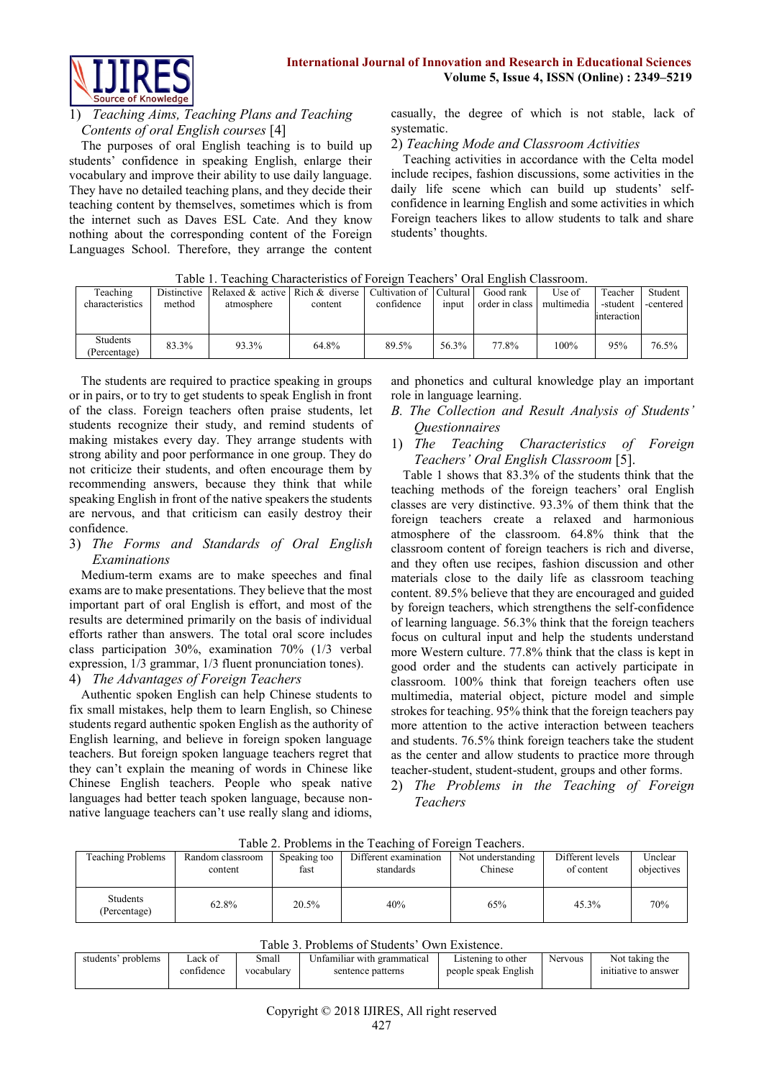

# 1) *Teaching Aims, Teaching Plans and Teaching Contents of oral English courses* [4]

The purposes of oral English teaching is to build up students' confidence in speaking English, enlarge their vocabulary and improve their ability to use daily language. They have no detailed teaching plans, and they decide their teaching content by themselves, sometimes which is from the internet such as Daves ESL Cate. And they know nothing about the corresponding content of the Foreign Languages School. Therefore, they arrange the content casually, the degree of which is not stable, lack of systematic.

## 2) *Teaching Mode and Classroom Activities*

Teaching activities in accordance with the Celta model include recipes, fashion discussions, some activities in the daily life scene which can build up students' selfconfidence in learning English and some activities in which Foreign teachers likes to allow students to talk and share students' thoughts.

| I dolu I. Tudulilig Characteristics of Foreign Tuduluis - Oral English Classiforni. |        |                                                                     |         |            |       |                |            |             |           |  |
|-------------------------------------------------------------------------------------|--------|---------------------------------------------------------------------|---------|------------|-------|----------------|------------|-------------|-----------|--|
| Teaching                                                                            |        | Distinctive Relaxed & active Rich & diverse Cultivation of Cultural |         |            |       | Good rank      | Use of     | Teacher     | Student   |  |
| characteristics                                                                     | method | atmosphere                                                          | content | confidence | input | order in class | multimedia | -student    | -centered |  |
|                                                                                     |        |                                                                     |         |            |       |                |            | interaction |           |  |
|                                                                                     |        |                                                                     |         |            |       |                |            |             |           |  |
| Students<br>(Percentage)                                                            | 83.3%  | 93.3%                                                               | 64.8%   | 89.5%      | 56.3% | 77.8%          | 100%       | 95%         | 76.5%     |  |

Table 1. Teaching Characteristics of Foreign Teachers' Oral English Classroom.

The students are required to practice speaking in groups or in pairs, or to try to get students to speak English in front of the class. Foreign teachers often praise students, let students recognize their study, and remind students of making mistakes every day. They arrange students with strong ability and poor performance in one group. They do not criticize their students, and often encourage them by recommending answers, because they think that while speaking English in front of the native speakers the students are nervous, and that criticism can easily destroy their confidence.

# 3) *The Forms and Standards of Oral English Examinations*

Medium-term exams are to make speeches and final exams are to make presentations. They believe that the most important part of oral English is effort, and most of the results are determined primarily on the basis of individual efforts rather than answers. The total oral score includes class participation 30%, examination 70% (1/3 verbal expression, 1/3 grammar, 1/3 fluent pronunciation tones).

# 4) *The Advantages of Foreign Teachers*

Authentic spoken English can help Chinese students to fix small mistakes, help them to learn English, so Chinese students regard authentic spoken English as the authority of English learning, and believe in foreign spoken language teachers. But foreign spoken language teachers regret that they can't explain the meaning of words in Chinese like Chinese English teachers. People who speak native languages had better teach spoken language, because nonnative language teachers can't use really slang and idioms, and phonetics and cultural knowledge play an important role in language learning.

## *B. The Collection and Result Analysis of Students' Questionnaires*

1) *The Teaching Characteristics of Foreign Teachers' Oral English Classroom* [5].

Table 1 shows that 83.3% of the students think that the teaching methods of the foreign teachers' oral English classes are very distinctive. 93.3% of them think that the foreign teachers create a relaxed and harmonious atmosphere of the classroom. 64.8% think that the classroom content of foreign teachers is rich and diverse, and they often use recipes, fashion discussion and other materials close to the daily life as classroom teaching content. 89.5% believe that they are encouraged and guided by foreign teachers, which strengthens the self-confidence of learning language. 56.3% think that the foreign teachers focus on cultural input and help the students understand more Western culture. 77.8% think that the class is kept in good order and the students can actively participate in classroom. 100% think that foreign teachers often use multimedia, material object, picture model and simple strokes for teaching. 95% think that the foreign teachers pay more attention to the active interaction between teachers and students. 76.5% think foreign teachers take the student as the center and allow students to practice more through teacher-student, student-student, groups and other forms.

2) *The Problems in the Teaching of Foreign Teachers*

| rable $\angle$ . Problems in the reaching or Foreign reachers. |                             |                      |                                    |                              |                                |                       |  |  |  |  |
|----------------------------------------------------------------|-----------------------------|----------------------|------------------------------------|------------------------------|--------------------------------|-----------------------|--|--|--|--|
| <b>Teaching Problems</b>                                       | Random classroom<br>content | Speaking too<br>fast | Different examination<br>standards | Not understanding<br>Chinese | Different levels<br>of content | Unclear<br>objectives |  |  |  |  |
| <b>Students</b><br>(Percentage)                                | 62.8%                       | 20.5%                | 40%                                | 65%                          | 45.3%                          | 70%                   |  |  |  |  |

Table 2. Problems in the Teaching of Foreign Teachers.

| Table 3. Problems of Students' Own Existence. |  |
|-----------------------------------------------|--|
|-----------------------------------------------|--|

| $10000$ ). I TOORTHS OF DRUGBIRS TO WELL ABRUILLY. |            |            |                             |                      |         |                      |  |  |  |
|----------------------------------------------------|------------|------------|-----------------------------|----------------------|---------|----------------------|--|--|--|
| students' problems                                 | _ack of    | Small      | Unfamiliar with grammatical | Listening to other   | Nervous | Not taking the       |  |  |  |
|                                                    | confidence | vocabulary | sentence patterns           | people speak English |         | initiative to answer |  |  |  |
|                                                    |            |            |                             |                      |         |                      |  |  |  |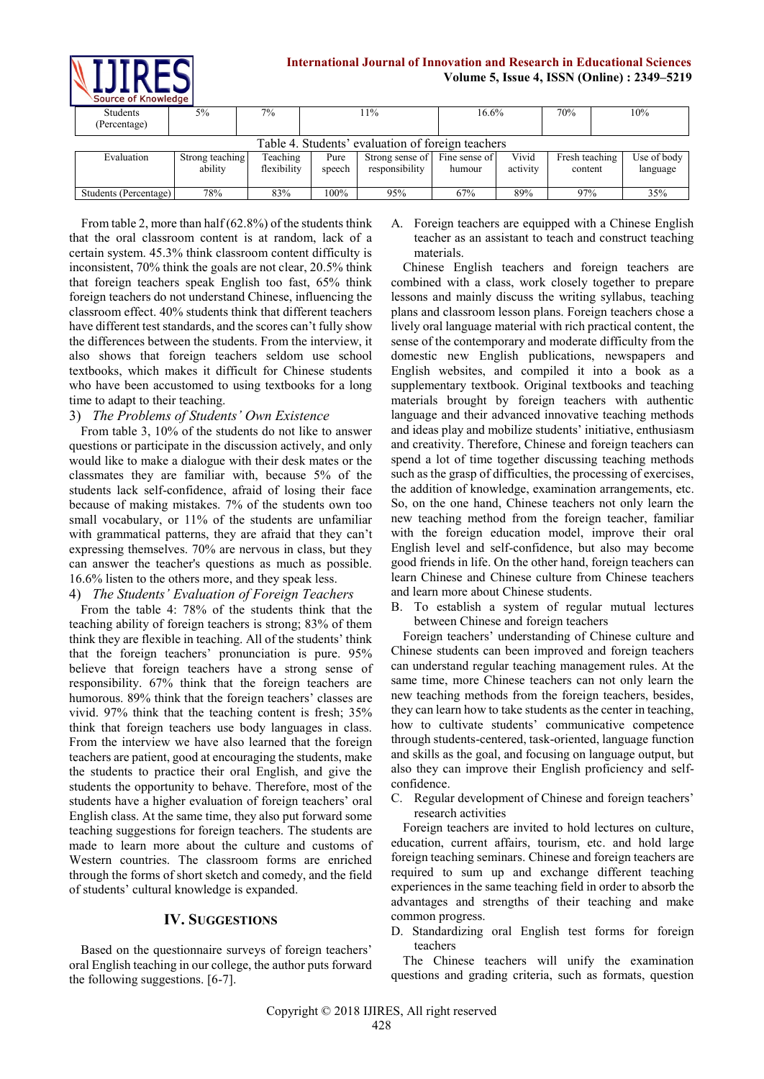**International Journal of Innovation and Research in Educational Sciences Volume 5, Issue 4, ISSN (Online) : 2349–5219**

|  | 300                                               |                 |             |        |                 |               |          |                |     |             |
|--|---------------------------------------------------|-----------------|-------------|--------|-----------------|---------------|----------|----------------|-----|-------------|
|  | Students<br>(Percentage)                          | 5%              | $7\%$       |        | 11%             |               | $16.6\%$ |                | 10% |             |
|  | Table 4. Students' evaluation of foreign teachers |                 |             |        |                 |               |          |                |     |             |
|  | Evaluation                                        | Strong teaching | Teaching    | Pure   | Strong sense of | Fine sense of | Vivid    | Fresh teaching |     | Use of body |
|  |                                                   | ability         | flexibility | speech | responsibility  | humour        | activity | content        |     | language    |
|  |                                                   |                 |             |        |                 |               |          |                |     |             |
|  | Students (Percentage)                             | 78%             | 83%         | 100%   | 95%             | 67%           | 89%      | 97%            |     | 35%         |

From table 2, more than half (62.8%) of the students think that the oral classroom content is at random, lack of a certain system. 45.3% think classroom content difficulty is inconsistent, 70% think the goals are not clear, 20.5% think that foreign teachers speak English too fast, 65% think foreign teachers do not understand Chinese, influencing the classroom effect. 40% students think that different teachers have different test standards, and the scores can't fully show the differences between the students. From the interview, it also shows that foreign teachers seldom use school textbooks, which makes it difficult for Chinese students who have been accustomed to using textbooks for a long time to adapt to their teaching.

#### 3) *The Problems of Students' Own Existence*

From table 3, 10% of the students do not like to answer questions or participate in the discussion actively, and only would like to make a dialogue with their desk mates or the classmates they are familiar with, because 5% of the students lack self-confidence, afraid of losing their face because of making mistakes. 7% of the students own too small vocabulary, or 11% of the students are unfamiliar with grammatical patterns, they are afraid that they can't expressing themselves. 70% are nervous in class, but they can answer the teacher's questions as much as possible. 16.6% listen to the others more, and they speak less.

## 4) *The Students' Evaluation of Foreign Teachers*

From the table 4: 78% of the students think that the teaching ability of foreign teachers is strong; 83% of them think they are flexible in teaching. All of the students' think that the foreign teachers' pronunciation is pure. 95% believe that foreign teachers have a strong sense of responsibility. 67% think that the foreign teachers are humorous. 89% think that the foreign teachers' classes are vivid. 97% think that the teaching content is fresh; 35% think that foreign teachers use body languages in class. From the interview we have also learned that the foreign teachers are patient, good at encouraging the students, make the students to practice their oral English, and give the students the opportunity to behave. Therefore, most of the students have a higher evaluation of foreign teachers' oral English class. At the same time, they also put forward some teaching suggestions for foreign teachers. The students are made to learn more about the culture and customs of Western countries. The classroom forms are enriched through the forms of short sketch and comedy, and the field of students' cultural knowledge is expanded.

## **IV. SUGGESTIONS**

Based on the questionnaire surveys of foreign teachers' oral English teaching in our college, the author puts forward the following suggestions. [6-7].

A. Foreign teachers are equipped with a Chinese English teacher as an assistant to teach and construct teaching materials.

Chinese English teachers and foreign teachers are combined with a class, work closely together to prepare lessons and mainly discuss the writing syllabus, teaching plans and classroom lesson plans. Foreign teachers chose a lively oral language material with rich practical content, the sense of the contemporary and moderate difficulty from the domestic new English publications, newspapers and English websites, and compiled it into a book as a supplementary textbook. Original textbooks and teaching materials brought by foreign teachers with authentic language and their advanced innovative teaching methods and ideas play and mobilize students' initiative, enthusiasm and creativity. Therefore, Chinese and foreign teachers can spend a lot of time together discussing teaching methods such as the grasp of difficulties, the processing of exercises, the addition of knowledge, examination arrangements, etc. So, on the one hand, Chinese teachers not only learn the new teaching method from the foreign teacher, familiar with the foreign education model, improve their oral English level and self-confidence, but also may become good friends in life. On the other hand, foreign teachers can learn Chinese and Chinese culture from Chinese teachers and learn more about Chinese students.

B. To establish a system of regular mutual lectures between Chinese and foreign teachers

Foreign teachers' understanding of Chinese culture and Chinese students can been improved and foreign teachers can understand regular teaching management rules. At the same time, more Chinese teachers can not only learn the new teaching methods from the foreign teachers, besides, they can learn how to take students as the center in teaching, how to cultivate students' communicative competence through students-centered, task-oriented, language function and skills as the goal, and focusing on language output, but also they can improve their English proficiency and selfconfidence.

C. Regular development of Chinese and foreign teachers' research activities

Foreign teachers are invited to hold lectures on culture, education, current affairs, tourism, etc. and hold large foreign teaching seminars. Chinese and foreign teachers are required to sum up and exchange different teaching experiences in the same teaching field in order to absorb the advantages and strengths of their teaching and make common progress.

D. Standardizing oral English test forms for foreign teachers

The Chinese teachers will unify the examination questions and grading criteria, such as formats, question